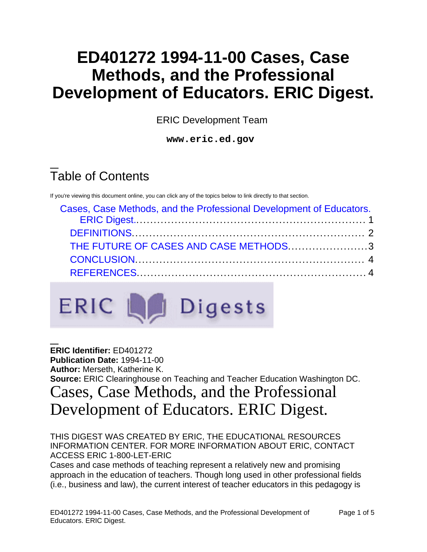## **ED401272 1994-11-00 Cases, Case Methods, and the Professional Development of Educators. ERIC Digest.**

ERIC Development Team

**www.eric.ed.gov**

# Table of Contents

If you're viewing this document online, you can click any of the topics below to link directly to that section.

| Cases, Case Methods, and the Professional Development of Educators. |  |
|---------------------------------------------------------------------|--|
|                                                                     |  |
| THE FUTURE OF CASES AND CASE METHODS3                               |  |
|                                                                     |  |
|                                                                     |  |



**ERIC Identifier:** ED401272 **Publication Date:** 1994-11-00 **Author:** Merseth, Katherine K. **Source:** ERIC Clearinghouse on Teaching and Teacher Education Washington DC. Cases, Case Methods, and the Professional

# <span id="page-0-0"></span>Development of Educators. ERIC Digest.

THIS DIGEST WAS CREATED BY ERIC, THE EDUCATIONAL RESOURCES INFORMATION CENTER. FOR MORE INFORMATION ABOUT ERIC, CONTACT ACCESS ERIC 1-800-LET-ERIC

Cases and case methods of teaching represent a relatively new and promising approach in the education of teachers. Though long used in other professional fields (i.e., business and law), the current interest of teacher educators in this pedagogy is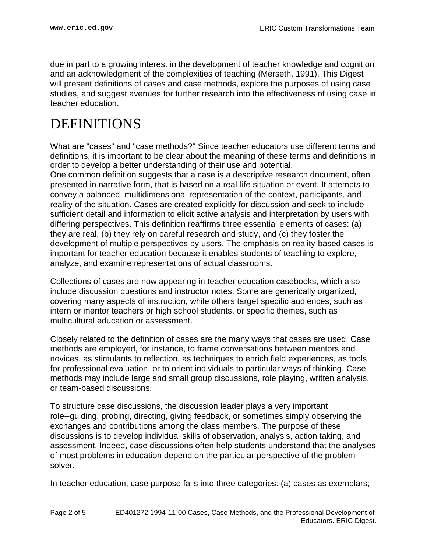due in part to a growing interest in the development of teacher knowledge and cognition and an acknowledgment of the complexities of teaching (Merseth, 1991). This Digest will present definitions of cases and case methods, explore the purposes of using case studies, and suggest avenues for further research into the effectiveness of using case in teacher education.

#### <span id="page-1-0"></span>DEFINITIONS

What are "cases" and "case methods?" Since teacher educators use different terms and definitions, it is important to be clear about the meaning of these terms and definitions in order to develop a better understanding of their use and potential.

One common definition suggests that a case is a descriptive research document, often presented in narrative form, that is based on a real-life situation or event. It attempts to convey a balanced, multidimensional representation of the context, participants, and reality of the situation. Cases are created explicitly for discussion and seek to include sufficient detail and information to elicit active analysis and interpretation by users with differing perspectives. This definition reaffirms three essential elements of cases: (a) they are real, (b) they rely on careful research and study, and (c) they foster the development of multiple perspectives by users. The emphasis on reality-based cases is important for teacher education because it enables students of teaching to explore, analyze, and examine representations of actual classrooms.

Collections of cases are now appearing in teacher education casebooks, which also include discussion questions and instructor notes. Some are generically organized, covering many aspects of instruction, while others target specific audiences, such as intern or mentor teachers or high school students, or specific themes, such as multicultural education or assessment.

Closely related to the definition of cases are the many ways that cases are used. Case methods are employed, for instance, to frame conversations between mentors and novices, as stimulants to reflection, as techniques to enrich field experiences, as tools for professional evaluation, or to orient individuals to particular ways of thinking. Case methods may include large and small group discussions, role playing, written analysis, or team-based discussions.

To structure case discussions, the discussion leader plays a very important role--guiding, probing, directing, giving feedback, or sometimes simply observing the exchanges and contributions among the class members. The purpose of these discussions is to develop individual skills of observation, analysis, action taking, and assessment. Indeed, case discussions often help students understand that the analyses of most problems in education depend on the particular perspective of the problem solver.

In teacher education, case purpose falls into three categories: (a) cases as exemplars;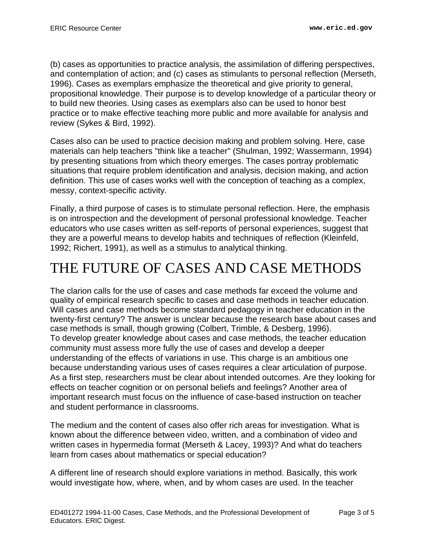(b) cases as opportunities to practice analysis, the assimilation of differing perspectives, and contemplation of action; and (c) cases as stimulants to personal reflection (Merseth, 1996). Cases as exemplars emphasize the theoretical and give priority to general, propositional knowledge. Their purpose is to develop knowledge of a particular theory or to build new theories. Using cases as exemplars also can be used to honor best practice or to make effective teaching more public and more available for analysis and review (Sykes & Bird, 1992).

Cases also can be used to practice decision making and problem solving. Here, case materials can help teachers "think like a teacher" (Shulman, 1992; Wassermann, 1994) by presenting situations from which theory emerges. The cases portray problematic situations that require problem identification and analysis, decision making, and action definition. This use of cases works well with the conception of teaching as a complex, messy, context-specific activity.

Finally, a third purpose of cases is to stimulate personal reflection. Here, the emphasis is on introspection and the development of personal professional knowledge. Teacher educators who use cases written as self-reports of personal experiences, suggest that they are a powerful means to develop habits and techniques of reflection (Kleinfeld, 1992; Richert, 1991), as well as a stimulus to analytical thinking.

### <span id="page-2-0"></span>THE FUTURE OF CASES AND CASE METHODS

The clarion calls for the use of cases and case methods far exceed the volume and quality of empirical research specific to cases and case methods in teacher education. Will cases and case methods become standard pedagogy in teacher education in the twenty-first century? The answer is unclear because the research base about cases and case methods is small, though growing (Colbert, Trimble, & Desberg, 1996). To develop greater knowledge about cases and case methods, the teacher education community must assess more fully the use of cases and develop a deeper understanding of the effects of variations in use. This charge is an ambitious one because understanding various uses of cases requires a clear articulation of purpose. As a first step, researchers must be clear about intended outcomes. Are they looking for effects on teacher cognition or on personal beliefs and feelings? Another area of important research must focus on the influence of case-based instruction on teacher and student performance in classrooms.

The medium and the content of cases also offer rich areas for investigation. What is known about the difference between video, written, and a combination of video and written cases in hypermedia format (Merseth & Lacey, 1993)? And what do teachers learn from cases about mathematics or special education?

A different line of research should explore variations in method. Basically, this work would investigate how, where, when, and by whom cases are used. In the teacher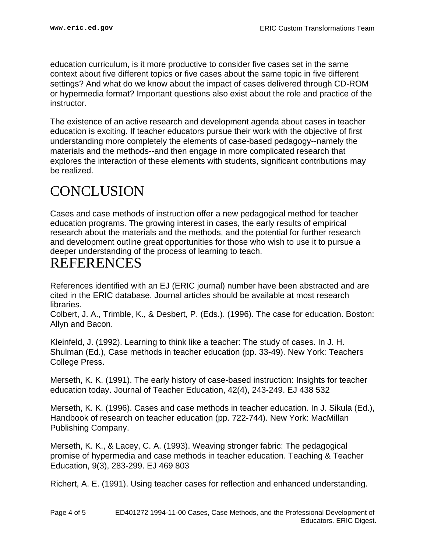education curriculum, is it more productive to consider five cases set in the same context about five different topics or five cases about the same topic in five different settings? And what do we know about the impact of cases delivered through CD-ROM or hypermedia format? Important questions also exist about the role and practice of the instructor.

The existence of an active research and development agenda about cases in teacher education is exciting. If teacher educators pursue their work with the objective of first understanding more completely the elements of case-based pedagogy--namely the materials and the methods--and then engage in more complicated research that explores the interaction of these elements with students, significant contributions may be realized.

#### <span id="page-3-0"></span>**CONCLUSION**

Cases and case methods of instruction offer a new pedagogical method for teacher education programs. The growing interest in cases, the early results of empirical research about the materials and the methods, and the potential for further research and development outline great opportunities for those who wish to use it to pursue a deeper understanding of the process of learning to teach.

#### <span id="page-3-1"></span>REFERENCES

References identified with an EJ (ERIC journal) number have been abstracted and are cited in the ERIC database. Journal articles should be available at most research libraries.

Colbert, J. A., Trimble, K., & Desbert, P. (Eds.). (1996). The case for education. Boston: Allyn and Bacon.

Kleinfeld, J. (1992). Learning to think like a teacher: The study of cases. In J. H. Shulman (Ed.), Case methods in teacher education (pp. 33-49). New York: Teachers College Press.

Merseth, K. K. (1991). The early history of case-based instruction: Insights for teacher education today. Journal of Teacher Education, 42(4), 243-249. EJ 438 532

Merseth, K. K. (1996). Cases and case methods in teacher education. In J. Sikula (Ed.), Handbook of research on teacher education (pp. 722-744). New York: MacMillan Publishing Company.

Merseth, K. K., & Lacey, C. A. (1993). Weaving stronger fabric: The pedagogical promise of hypermedia and case methods in teacher education. Teaching & Teacher Education, 9(3), 283-299. EJ 469 803

Richert, A. E. (1991). Using teacher cases for reflection and enhanced understanding.